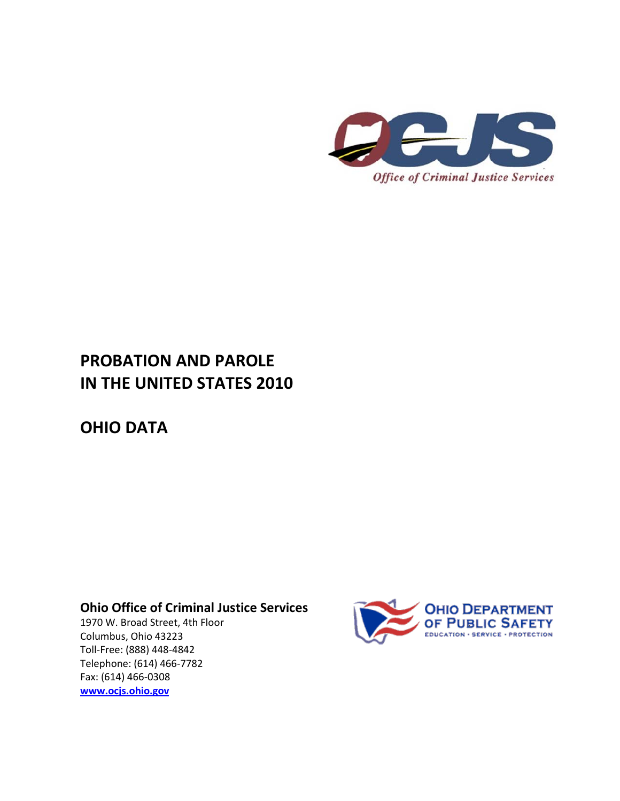

## **PROBATION AND PAROLE IN THE UNITED STATES 2010**

**OHIO DATA**

**Ohio Office of Criminal Justice Services**

1970 W. Broad Street, 4th Floor Columbus, Ohio 43223 Toll-Free: (888) 448-4842 Telephone: (614) 466-7782 Fax: (614) 466-0308 **[www.ocjs.ohio.gov](http://www.ocjs.ohio.gov/)**

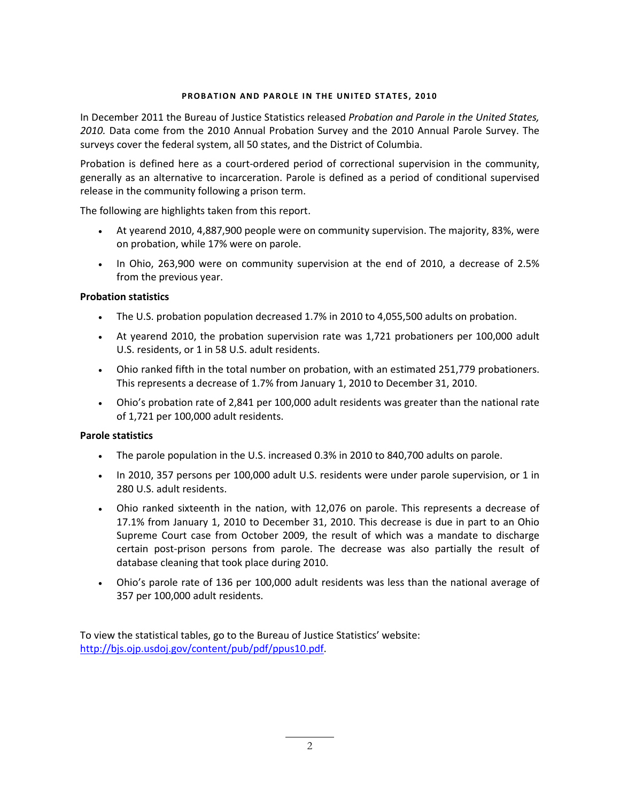## **PROBATION AND PAROLE IN THE UNITED STATES, 2010**

In December 2011 the Bureau of Justice Statistics released *Probation and Parole in the United States, 2010.* Data come from the 2010 Annual Probation Survey and the 2010 Annual Parole Survey. The surveys cover the federal system, all 50 states, and the District of Columbia.

Probation is defined here as a court-ordered period of correctional supervision in the community, generally as an alternative to incarceration. Parole is defined as a period of conditional supervised release in the community following a prison term.

The following are highlights taken from this report.

- At yearend 2010, 4,887,900 people were on community supervision. The majority, 83%, were on probation, while 17% were on parole.
- In Ohio, 263,900 were on community supervision at the end of 2010, a decrease of 2.5% from the previous year.

## **Probation statistics**

- The U.S. probation population decreased 1.7% in 2010 to 4,055,500 adults on probation.
- At yearend 2010, the probation supervision rate was 1,721 probationers per 100,000 adult U.S. residents, or 1 in 58 U.S. adult residents.
- Ohio ranked fifth in the total number on probation, with an estimated 251,779 probationers. This represents a decrease of 1.7% from January 1, 2010 to December 31, 2010.
- Ohio's probation rate of 2,841 per 100,000 adult residents was greater than the national rate of 1,721 per 100,000 adult residents.

## **Parole statistics**

- The parole population in the U.S. increased 0.3% in 2010 to 840,700 adults on parole.
- In 2010, 357 persons per 100,000 adult U.S. residents were under parole supervision, or 1 in 280 U.S. adult residents.
- Ohio ranked sixteenth in the nation, with 12,076 on parole. This represents a decrease of 17.1% from January 1, 2010 to December 31, 2010. This decrease is due in part to an Ohio Supreme Court case from October 2009, the result of which was a mandate to discharge certain post-prison persons from parole. The decrease was also partially the result of database cleaning that took place during 2010.
- Ohio's parole rate of 136 per 100,000 adult residents was less than the national average of 357 per 100,000 adult residents.

To view the statistical tables, go to the Bureau of Justice Statistics' website: [http://bjs.ojp.usdoj.gov/content/pub/pdf/ppus10.pdf.](http://bjs.ojp.usdoj.gov/content/pub/pdf/ppus10.pdf)